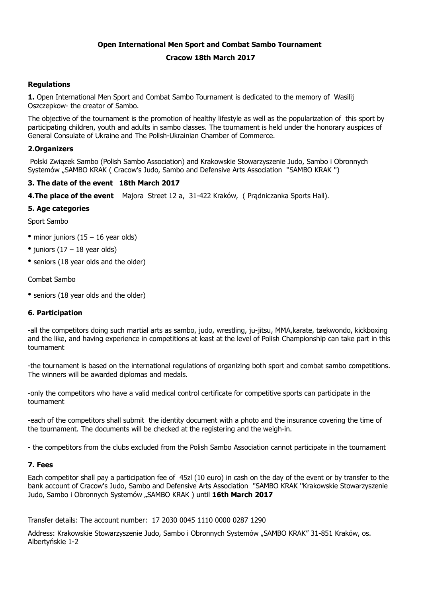# **Open International Men Sport and Combat Sambo Tournament Cracow 18th March 2017**

# **Regulations**

**1.** Open International Men Sport and Combat Sambo Tournament is dedicated to the memory of Wasilij Oszczepkow- the creator of Sambo.

The objective of the tournament is the promotion of healthy lifestyle as well as the popularization of this sport by participating children, youth and adults in sambo classes. The tournament is held under the honorary auspices of General Consulate of Ukraine and The Polish-Ukrainian Chamber of Commerce.

## **2.Organizers**

 Polski Związek Sambo (Polish Sambo Association) and Krakowskie Stowarzyszenie Judo, Sambo i Obronnych Systemów "SAMBO KRAK ( Cracow's Judo, Sambo and Defensive Arts Association ''SAMBO KRAK '')

## **3. The date of the event 18th March 2017**

**4.The place of the event** Majora Street 12 a, 31-422 Kraków, ( Prądniczanka Sports Hall).

## **5. Age categories**

Sport Sambo

- minor juniors  $(15 16$  year olds)
- juniors  $(17 18$  year olds)
- seniors (18 year olds and the older)

Combat Sambo

• seniors (18 year olds and the older)

# **6. Participation**

-all the competitors doing such martial arts as sambo, judo, wrestling, ju-jitsu, MMA,karate, taekwondo, kickboxing and the like, and having experience in competitions at least at the level of Polish Championship can take part in this tournament

-the tournament is based on the international regulations of organizing both sport and combat sambo competitions. The winners will be awarded diplomas and medals.

-only the competitors who have a valid medical control certificate for competitive sports can participate in the tournament

-each of the competitors shall submit the identity document with a photo and the insurance covering the time of the tournament. The documents will be checked at the registering and the weigh-in.

- the competitors from the clubs excluded from the Polish Sambo Association cannot participate in the tournament

### **7. Fees**

Each competitor shall pay a participation fee of 45zl (10 euro) in cash on the day of the event or by transfer to the bank account of Cracow's Judo, Sambo and Defensive Arts Association ''SAMBO KRAK ''Krakowskie Stowarzyszenie Judo, Sambo i Obronnych Systemów "SAMBO KRAK ) until **16th March 2017**

Transfer details: The account number: 17 2030 0045 1110 0000 0287 1290

Address: Krakowskie Stowarzyszenie Judo, Sambo i Obronnych Systemów "SAMBO KRAK" 31-851 Kraków, os. Albertyńskie 1-2